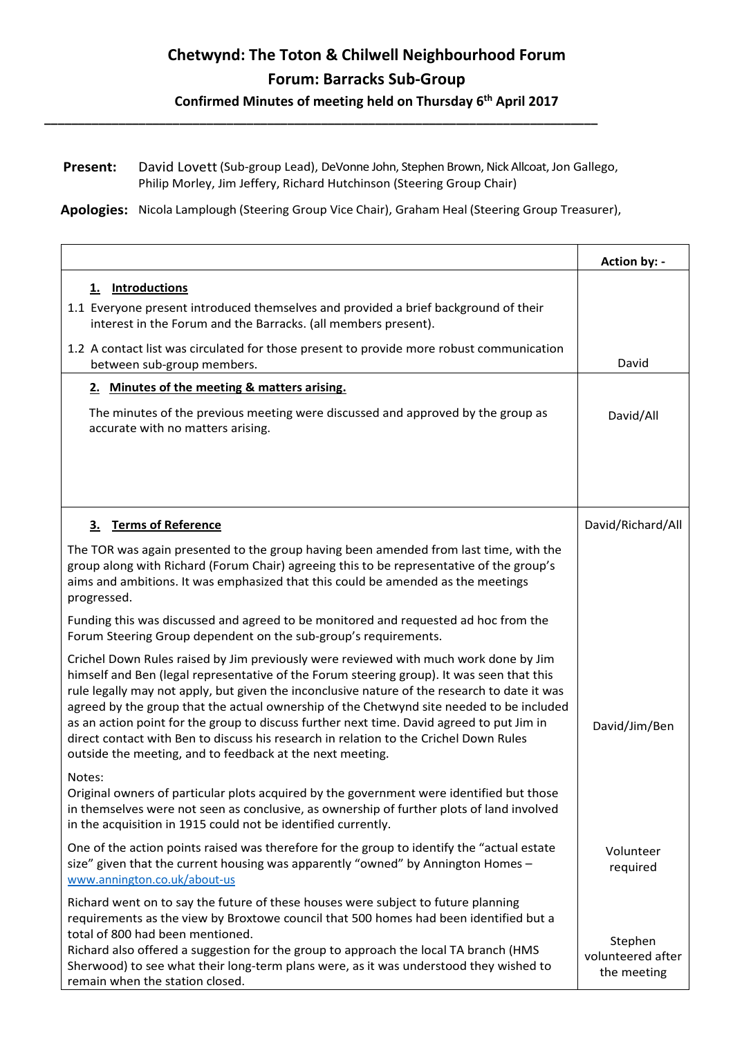## Chetwynd: The Toton & Chilwell Neighbourhood Forum Forum: Barracks Sub-Group

Confirmed Minutes of meeting held on Thursday 6<sup>th</sup> April 2017

Present: David Lovett (Sub-group Lead), DeVonne John, Stephen Brown, Nick Allcoat, Jon Gallego, Philip Morley, Jim Jeffery, Richard Hutchinson (Steering Group Chair)

\_\_\_\_\_\_\_\_\_\_\_\_\_\_\_\_\_\_\_\_\_\_\_\_\_\_\_\_\_\_\_\_\_\_\_\_\_\_\_\_\_\_\_\_\_\_\_\_\_\_\_\_\_\_\_\_\_\_\_\_\_\_\_\_\_\_\_\_\_\_\_\_\_\_\_\_\_\_\_\_\_\_

Apologies: Nicola Lamplough (Steering Group Vice Chair), Graham Heal (Steering Group Treasurer),

|                                                                                                                                                                                                                                                                                                                                                                                                                                                                                                                                                                                                                                  | Action by: -                                |
|----------------------------------------------------------------------------------------------------------------------------------------------------------------------------------------------------------------------------------------------------------------------------------------------------------------------------------------------------------------------------------------------------------------------------------------------------------------------------------------------------------------------------------------------------------------------------------------------------------------------------------|---------------------------------------------|
| 1. Introductions                                                                                                                                                                                                                                                                                                                                                                                                                                                                                                                                                                                                                 |                                             |
| 1.1 Everyone present introduced themselves and provided a brief background of their<br>interest in the Forum and the Barracks. (all members present).                                                                                                                                                                                                                                                                                                                                                                                                                                                                            |                                             |
| 1.2 A contact list was circulated for those present to provide more robust communication<br>between sub-group members.                                                                                                                                                                                                                                                                                                                                                                                                                                                                                                           | David                                       |
| 2. Minutes of the meeting & matters arising.                                                                                                                                                                                                                                                                                                                                                                                                                                                                                                                                                                                     |                                             |
| The minutes of the previous meeting were discussed and approved by the group as<br>accurate with no matters arising.                                                                                                                                                                                                                                                                                                                                                                                                                                                                                                             | David/All                                   |
|                                                                                                                                                                                                                                                                                                                                                                                                                                                                                                                                                                                                                                  |                                             |
| 3. Terms of Reference                                                                                                                                                                                                                                                                                                                                                                                                                                                                                                                                                                                                            | David/Richard/All                           |
| The TOR was again presented to the group having been amended from last time, with the<br>group along with Richard (Forum Chair) agreeing this to be representative of the group's<br>aims and ambitions. It was emphasized that this could be amended as the meetings<br>progressed.                                                                                                                                                                                                                                                                                                                                             |                                             |
| Funding this was discussed and agreed to be monitored and requested ad hoc from the<br>Forum Steering Group dependent on the sub-group's requirements.                                                                                                                                                                                                                                                                                                                                                                                                                                                                           |                                             |
| Crichel Down Rules raised by Jim previously were reviewed with much work done by Jim<br>himself and Ben (legal representative of the Forum steering group). It was seen that this<br>rule legally may not apply, but given the inconclusive nature of the research to date it was<br>agreed by the group that the actual ownership of the Chetwynd site needed to be included<br>as an action point for the group to discuss further next time. David agreed to put Jim in<br>direct contact with Ben to discuss his research in relation to the Crichel Down Rules<br>outside the meeting, and to feedback at the next meeting. | David/Jim/Ben                               |
| Notes:<br>Original owners of particular plots acquired by the government were identified but those<br>in themselves were not seen as conclusive, as ownership of further plots of land involved<br>in the acquisition in 1915 could not be identified currently.                                                                                                                                                                                                                                                                                                                                                                 |                                             |
| One of the action points raised was therefore for the group to identify the "actual estate<br>size" given that the current housing was apparently "owned" by Annington Homes -<br>www.annington.co.uk/about-us                                                                                                                                                                                                                                                                                                                                                                                                                   | Volunteer<br>required                       |
| Richard went on to say the future of these houses were subject to future planning<br>requirements as the view by Broxtowe council that 500 homes had been identified but a<br>total of 800 had been mentioned.<br>Richard also offered a suggestion for the group to approach the local TA branch (HMS<br>Sherwood) to see what their long-term plans were, as it was understood they wished to<br>remain when the station closed.                                                                                                                                                                                               | Stephen<br>volunteered after<br>the meeting |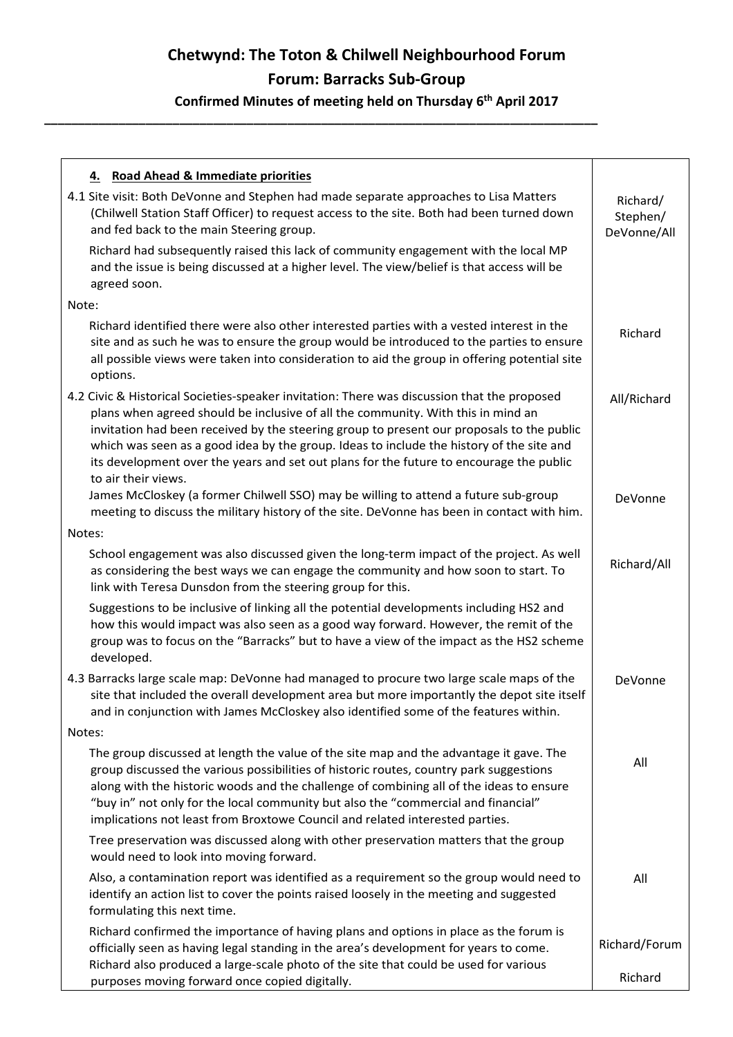# Chetwynd: The Toton & Chilwell Neighbourhood Forum Forum: Barracks Sub-Group

#### Confirmed Minutes of meeting held on Thursday 6<sup>th</sup> April 2017

\_\_\_\_\_\_\_\_\_\_\_\_\_\_\_\_\_\_\_\_\_\_\_\_\_\_\_\_\_\_\_\_\_\_\_\_\_\_\_\_\_\_\_\_\_\_\_\_\_\_\_\_\_\_\_\_\_\_\_\_\_\_\_\_\_\_\_\_\_\_\_\_\_\_\_\_\_\_\_\_\_\_

| 4. Road Ahead & Immediate priorities<br>4.1 Site visit: Both DeVonne and Stephen had made separate approaches to Lisa Matters<br>(Chilwell Station Staff Officer) to request access to the site. Both had been turned down<br>and fed back to the main Steering group.                                                                                                                                                                                                                     | Richard/<br>Stephen/<br>DeVonne/All |
|--------------------------------------------------------------------------------------------------------------------------------------------------------------------------------------------------------------------------------------------------------------------------------------------------------------------------------------------------------------------------------------------------------------------------------------------------------------------------------------------|-------------------------------------|
| Richard had subsequently raised this lack of community engagement with the local MP<br>and the issue is being discussed at a higher level. The view/belief is that access will be<br>agreed soon.                                                                                                                                                                                                                                                                                          |                                     |
| Note:                                                                                                                                                                                                                                                                                                                                                                                                                                                                                      |                                     |
| Richard identified there were also other interested parties with a vested interest in the<br>site and as such he was to ensure the group would be introduced to the parties to ensure<br>all possible views were taken into consideration to aid the group in offering potential site<br>options.                                                                                                                                                                                          | Richard                             |
| 4.2 Civic & Historical Societies-speaker invitation: There was discussion that the proposed<br>plans when agreed should be inclusive of all the community. With this in mind an<br>invitation had been received by the steering group to present our proposals to the public<br>which was seen as a good idea by the group. Ideas to include the history of the site and<br>its development over the years and set out plans for the future to encourage the public<br>to air their views. | All/Richard                         |
| James McCloskey (a former Chilwell SSO) may be willing to attend a future sub-group<br>meeting to discuss the military history of the site. DeVonne has been in contact with him.                                                                                                                                                                                                                                                                                                          | DeVonne                             |
| Notes:                                                                                                                                                                                                                                                                                                                                                                                                                                                                                     |                                     |
| School engagement was also discussed given the long-term impact of the project. As well<br>as considering the best ways we can engage the community and how soon to start. To<br>link with Teresa Dunsdon from the steering group for this.                                                                                                                                                                                                                                                | Richard/All                         |
| Suggestions to be inclusive of linking all the potential developments including HS2 and<br>how this would impact was also seen as a good way forward. However, the remit of the<br>group was to focus on the "Barracks" but to have a view of the impact as the HS2 scheme<br>developed.                                                                                                                                                                                                   |                                     |
| 4.3 Barracks large scale map: DeVonne had managed to procure two large scale maps of the<br>site that included the overall development area but more importantly the depot site itself<br>and in conjunction with James McCloskey also identified some of the features within.                                                                                                                                                                                                             | DeVonne                             |
| Notes:                                                                                                                                                                                                                                                                                                                                                                                                                                                                                     |                                     |
| The group discussed at length the value of the site map and the advantage it gave. The<br>group discussed the various possibilities of historic routes, country park suggestions<br>along with the historic woods and the challenge of combining all of the ideas to ensure<br>"buy in" not only for the local community but also the "commercial and financial"<br>implications not least from Broxtowe Council and related interested parties.                                           | All                                 |
| Tree preservation was discussed along with other preservation matters that the group<br>would need to look into moving forward.                                                                                                                                                                                                                                                                                                                                                            |                                     |
| Also, a contamination report was identified as a requirement so the group would need to<br>identify an action list to cover the points raised loosely in the meeting and suggested<br>formulating this next time.                                                                                                                                                                                                                                                                          | All                                 |
| Richard confirmed the importance of having plans and options in place as the forum is<br>officially seen as having legal standing in the area's development for years to come.                                                                                                                                                                                                                                                                                                             | Richard/Forum                       |
| Richard also produced a large-scale photo of the site that could be used for various<br>purposes moving forward once copied digitally.                                                                                                                                                                                                                                                                                                                                                     | Richard                             |